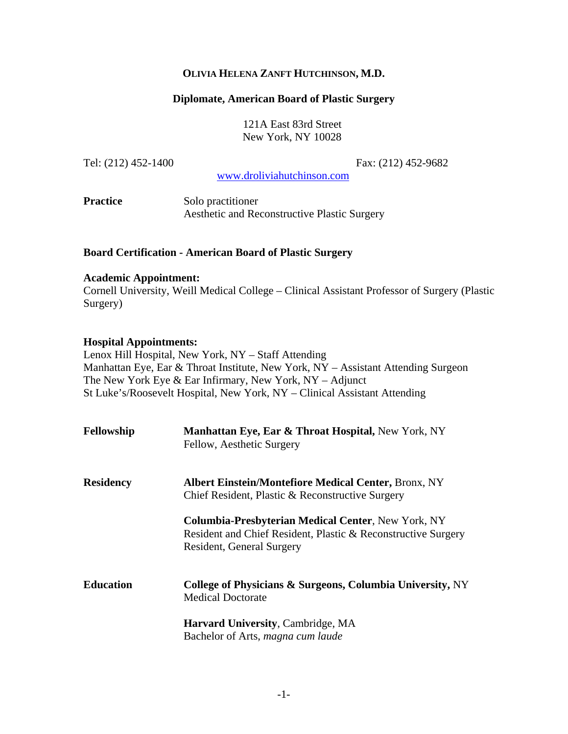## **OLIVIA HELENA ZANFT HUTCHINSON, M.D.**

#### **Diplomate, American Board of Plastic Surgery**

121A East 83rd Street New York, NY 10028

Tel: (212) 452-1400 Fax: (212) 452-9682

www.droliviahutchinson.com

**Practice** Solo practitioner Aesthetic and Reconstructive Plastic Surgery

#### **Board Certification - American Board of Plastic Surgery**

#### **Academic Appointment:**

Cornell University, Weill Medical College – Clinical Assistant Professor of Surgery (Plastic Surgery)

#### **Hospital Appointments:**

Lenox Hill Hospital, New York, NY – Staff Attending Manhattan Eye, Ear & Throat Institute, New York, NY – Assistant Attending Surgeon The New York Eye & Ear Infirmary, New York, NY – Adjunct St Luke's/Roosevelt Hospital, New York, NY – Clinical Assistant Attending

| Fellowship       | Manhattan Eye, Ear & Throat Hospital, New York, NY<br>Fellow, Aesthetic Surgery                                                                         |
|------------------|---------------------------------------------------------------------------------------------------------------------------------------------------------|
| <b>Residency</b> | <b>Albert Einstein/Montefiore Medical Center, Bronx, NY</b><br>Chief Resident, Plastic & Reconstructive Surgery                                         |
|                  | <b>Columbia-Presbyterian Medical Center, New York, NY</b><br>Resident and Chief Resident, Plastic & Reconstructive Surgery<br>Resident, General Surgery |
| <b>Education</b> | College of Physicians & Surgeons, Columbia University, NY<br><b>Medical Doctorate</b>                                                                   |
|                  | <b>Harvard University, Cambridge, MA</b><br>Bachelor of Arts, magna cum laude                                                                           |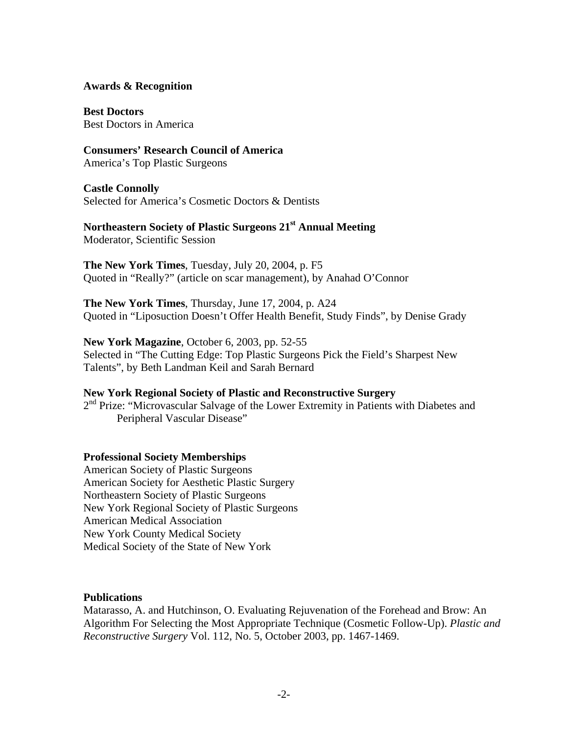#### **Awards & Recognition**

**Best Doctors** Best Doctors in America

# **Consumers' Research Council of America**

America's Top Plastic Surgeons

# **Castle Connolly**

Selected for America's Cosmetic Doctors & Dentists

## **Northeastern Society of Plastic Surgeons 21st Annual Meeting**  Moderator, Scientific Session

**The New York Times**, Tuesday, July 20, 2004, p. F5 Quoted in "Really?" (article on scar management), by Anahad O'Connor

**The New York Times**, Thursday, June 17, 2004, p. A24 Quoted in "Liposuction Doesn't Offer Health Benefit, Study Finds", by Denise Grady

## **New York Magazine**, October 6, 2003, pp. 52-55 Selected in "The Cutting Edge: Top Plastic Surgeons Pick the Field's Sharpest New Talents", by Beth Landman Keil and Sarah Bernard

# **New York Regional Society of Plastic and Reconstructive Surgery**

 $2<sup>nd</sup>$  Prize: "Microvascular Salvage of the Lower Extremity in Patients with Diabetes and Peripheral Vascular Disease"

## **Professional Society Memberships**

American Society of Plastic Surgeons American Society for Aesthetic Plastic Surgery Northeastern Society of Plastic Surgeons New York Regional Society of Plastic Surgeons American Medical Association New York County Medical Society Medical Society of the State of New York

## **Publications**

Matarasso, A. and Hutchinson, O. Evaluating Rejuvenation of the Forehead and Brow: An Algorithm For Selecting the Most Appropriate Technique (Cosmetic Follow-Up). *Plastic and Reconstructive Surgery* Vol. 112, No. 5, October 2003, pp. 1467-1469.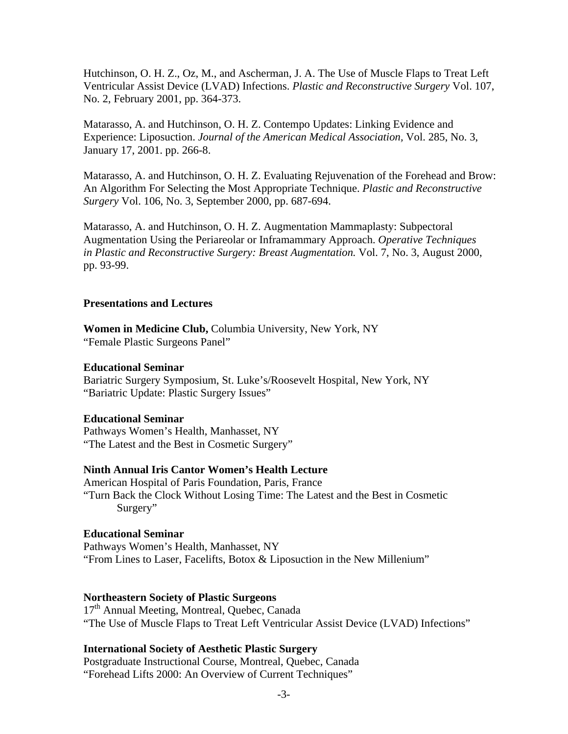Hutchinson, O. H. Z., Oz, M., and Ascherman, J. A. The Use of Muscle Flaps to Treat Left Ventricular Assist Device (LVAD) Infections. *Plastic and Reconstructive Surgery* Vol. 107, No. 2, February 2001, pp. 364-373.

Matarasso, A. and Hutchinson, O. H. Z. Contempo Updates: Linking Evidence and Experience: Liposuction. *Journal of the American Medical Association,* Vol. 285, No. 3, January 17, 2001. pp. 266-8.

Matarasso, A. and Hutchinson, O. H. Z. Evaluating Rejuvenation of the Forehead and Brow: An Algorithm For Selecting the Most Appropriate Technique. *Plastic and Reconstructive Surgery* Vol. 106, No. 3, September 2000, pp. 687-694.

Matarasso, A. and Hutchinson, O. H. Z. Augmentation Mammaplasty: Subpectoral Augmentation Using the Periareolar or Inframammary Approach. *Operative Techniques in Plastic and Reconstructive Surgery: Breast Augmentation.* Vol. 7, No. 3, August 2000, pp. 93-99.

#### **Presentations and Lectures**

**Women in Medicine Club,** Columbia University, New York, NY "Female Plastic Surgeons Panel"

#### **Educational Seminar**

Bariatric Surgery Symposium, St. Luke's/Roosevelt Hospital, New York, NY "Bariatric Update: Plastic Surgery Issues"

#### **Educational Seminar**

Pathways Women's Health, Manhasset, NY "The Latest and the Best in Cosmetic Surgery"

## **Ninth Annual Iris Cantor Women's Health Lecture**

American Hospital of Paris Foundation, Paris, France "Turn Back the Clock Without Losing Time: The Latest and the Best in Cosmetic Surgery"

## **Educational Seminar**

Pathways Women's Health, Manhasset, NY "From Lines to Laser, Facelifts, Botox & Liposuction in the New Millenium"

#### **Northeastern Society of Plastic Surgeons**

17<sup>th</sup> Annual Meeting, Montreal, Quebec, Canada "The Use of Muscle Flaps to Treat Left Ventricular Assist Device (LVAD) Infections"

## **International Society of Aesthetic Plastic Surgery**

Postgraduate Instructional Course, Montreal, Quebec, Canada "Forehead Lifts 2000: An Overview of Current Techniques"